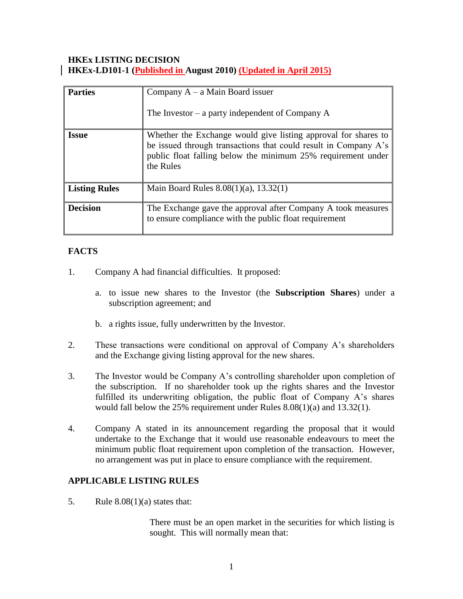## **HKEx LISTING DECISION HKEx-LD101-1 (Published in August 2010) (Updated in April 2015)**

| <b>Parties</b>       | Company $A - a$ Main Board issuer<br>The Investor – a party independent of Company $A$                                                                                                                         |
|----------------------|----------------------------------------------------------------------------------------------------------------------------------------------------------------------------------------------------------------|
| <b>Issue</b>         | Whether the Exchange would give listing approval for shares to<br>be issued through transactions that could result in Company A's<br>public float falling below the minimum 25% requirement under<br>the Rules |
| <b>Listing Rules</b> | Main Board Rules $8.08(1)(a)$ , $13.32(1)$                                                                                                                                                                     |
| <b>Decision</b>      | The Exchange gave the approval after Company A took measures<br>to ensure compliance with the public float requirement                                                                                         |

# **FACTS**

- 1. Company A had financial difficulties. It proposed:
	- a. to issue new shares to the Investor (the **Subscription Shares**) under a subscription agreement; and
	- b. a rights issue, fully underwritten by the Investor.
- 2. These transactions were conditional on approval of Company A's shareholders and the Exchange giving listing approval for the new shares.
- 3. The Investor would be Company A's controlling shareholder upon completion of the subscription. If no shareholder took up the rights shares and the Investor fulfilled its underwriting obligation, the public float of Company A's shares would fall below the 25% requirement under Rules 8.08(1)(a) and 13.32(1).
- 4. Company A stated in its announcement regarding the proposal that it would undertake to the Exchange that it would use reasonable endeavours to meet the minimum public float requirement upon completion of the transaction. However, no arrangement was put in place to ensure compliance with the requirement.

## **APPLICABLE LISTING RULES**

5. Rule  $8.08(1)(a)$  states that:

There must be an open market in the securities for which listing is sought. This will normally mean that: